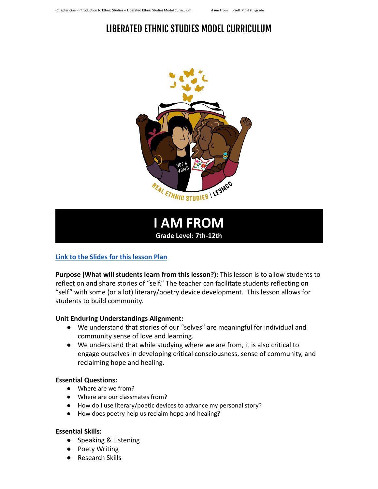



#### **[Link to the Slides for this lesson Plan](https://docs.google.com/presentation/d/1vqoE0_cKpcjhGBhzpVTnIKYzcc2YJ_UcLEc7N2Uk-LA/copy)**

**Purpose (What will students learn from this lesson?):** This lesson is to allow students to reflect on and share stories of "self." The teacher can facilitate students reflecting on "self" with some (or a lot) literary/poetry device development. This lesson allows for students to build community.

#### **Unit Enduring Understandings Alignment:**

- We understand that stories of our "selves" are meaningful for individual and community sense of love and learning.
- We understand that while studying where we are from, it is also critical to engage ourselves in developing critical consciousness, sense of community, and reclaiming hope and healing.

#### **Essential Questions:**

- Where are we from?
- Where are our classmates from?
- How do I use literary/poetic devices to advance my personal story?
- How does poetry help us reclaim hope and healing?

#### **Essential Skills:**

- Speaking & Listening
- Poety Writing
- Research Skills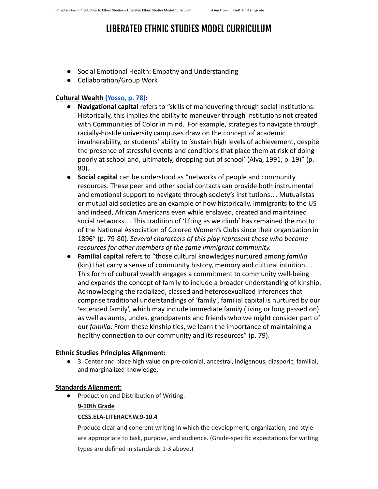- Social Emotional Health: Empathy and Understanding
- Collaboration/Group Work

#### **[Cultural Wealth](https://drive.google.com/file/d/0B0c4WTZSk3sNNlJuV1NobldqTHc/view?usp=sharing) [\(Yosso, p. 78\):](https://pdx.pressbooks.pub/app/uploads/sites/56/2020/09/INSERT-4-Cultural-Wealth-Model.pdf)**

- **Navigational capital** refers to "skills of maneuvering through social institutions. Historically, this implies the ability to maneuver through institutions not created with Communities of Color in mind. For example, strategies to navigate through racially-hostile university campuses draw on the concept of academic invulnerability, or students' ability to 'sustain high levels of achievement, despite the presence of stressful events and conditions that place them at risk of doing poorly at school and, ultimately, dropping out of school' (Alva, 1991, p. 19)" (p. 80).
- **● Social capital** can be understood as "networks of people and community resources. These peer and other social contacts can provide both instrumental and emotional support to navigate through society's institutions… Mutualistas or mutual aid societies are an example of how historically, immigrants to the US and indeed, African Americans even while enslaved, created and maintained social networks… This tradition of 'lifting as we climb' has remained the motto of the National Association of Colored Women's Clubs since their organization in 1896" (p. 79-80). *Several characters of this play represent those who become resources for other members of the same immigrant community.*
- *●* **Familial capital** refers to "those cultural knowledges nurtured among *familia* (kin) that carry a sense of community history, memory and cultural intuition… This form of cultural wealth engages a commitment to community well-being and expands the concept of family to include a broader understanding of kinship. Acknowledging the racialized, classed and heterosexualized inferences that comprise traditional understandings of 'family', familial capital is nurtured by our 'extended family', which may include immediate family (living or long passed on) as well as aunts, uncles, grandparents and friends who we might consider part of our *familia*. From these kinship ties, we learn the importance of maintaining a healthy connection to our community and its resources" (p. 79).

### **[Ethnic Studies Principles Alignment:](https://docs.google.com/document/d/1IXvC0GexzT95ptWjV8I5AMmghJ4ch0HQc_uOkKslPSU/edit?usp=sharing)**

● 3. Center and place high value on pre-colonial, ancestral, indigenous, diasporic, familial, and marginalized knowledge;

#### **Standards Alignment:**

**●** Production and Distribution of Writing:

#### **9-10th Grade**

#### **CCSS.ELA-LITERACY.W.9-10.4**

Produce clear and coherent writing in which the development, organization, and style are appropriate to task, purpose, and audience. (Grade-specific expectations for writing types are defined in standards 1-3 above.)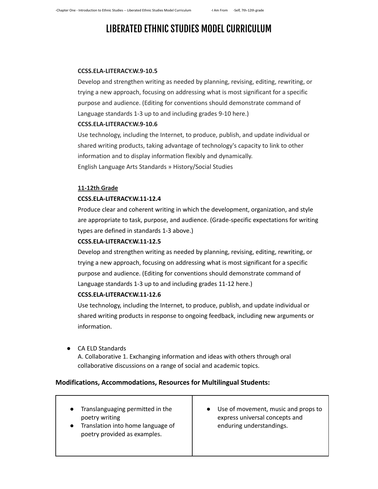#### **CCSS.ELA-LITERACY.W.9-10.5**

Develop and strengthen writing as needed by planning, revising, editing, rewriting, or trying a new approach, focusing on addressing what is most significant for a specific purpose and audience. (Editing for conventions should demonstrate command of Language standards 1-3 up to and including grades 9-10 here.)

#### **CCSS.ELA-LITERACY.W.9-10.6**

Use technology, including the Internet, to produce, publish, and update individual or shared writing products, taking advantage of technology's capacity to link to other information and to display information flexibly and dynamically. English Language Arts Standards » History/Social Studies

#### **11-12th Grade**

#### **CCSS.ELA-LITERACY.W.11-12.4**

Produce clear and coherent writing in which the development, organization, and style are appropriate to task, purpose, and audience. (Grade-specific expectations for writing types are defined in standards 1-3 above.)

#### **CCSS.ELA-LITERACY.W.11-12.5**

Develop and strengthen writing as needed by planning, revising, editing, rewriting, or trying a new approach, focusing on addressing what is most significant for a specific purpose and audience. (Editing for conventions should demonstrate command of Language standards 1-3 up to and including grades 11-12 here.)

#### **CCSS.ELA-LITERACY.W.11-12.6**

Use technology, including the Internet, to produce, publish, and update individual or shared writing products in response to ongoing feedback, including new arguments or information.

**●** CA ELD Standards

A. Collaborative 1. Exchanging information and ideas with others through oral collaborative discussions on a range of social and academic topics.

#### **Modifications, Accommodations, Resources for Multilingual Students:**

| Translanguaging permitted in the<br>poetry writing<br>Translation into home language of<br>poetry provided as examples. | Use of movement, music and props to<br>express universal concepts and<br>enduring understandings. |
|-------------------------------------------------------------------------------------------------------------------------|---------------------------------------------------------------------------------------------------|
|-------------------------------------------------------------------------------------------------------------------------|---------------------------------------------------------------------------------------------------|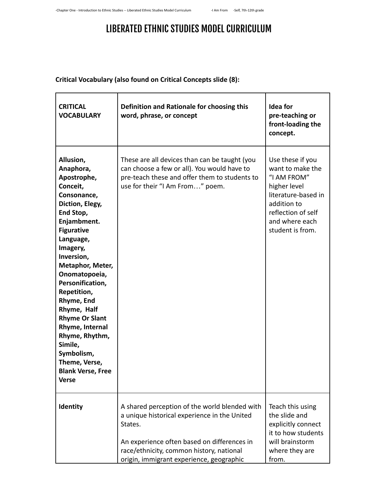### **Critical Vocabulary (also found on Critical Concepts slide (8):**

| <b>CRITICAL</b><br><b>VOCABULARY</b>                                                                                                                                                                                                                                                                                                                                                                                                 | Definition and Rationale for choosing this<br>word, phrase, or concept                                                                                                                                                                          | <b>Idea for</b><br>pre-teaching or<br>front-loading the<br>concept.                                                                                                   |
|--------------------------------------------------------------------------------------------------------------------------------------------------------------------------------------------------------------------------------------------------------------------------------------------------------------------------------------------------------------------------------------------------------------------------------------|-------------------------------------------------------------------------------------------------------------------------------------------------------------------------------------------------------------------------------------------------|-----------------------------------------------------------------------------------------------------------------------------------------------------------------------|
| Allusion,<br>Anaphora,<br>Apostrophe,<br>Conceit,<br>Consonance,<br>Diction, Elegy,<br>End Stop,<br>Enjambment.<br><b>Figurative</b><br>Language,<br>Imagery,<br>Inversion,<br>Metaphor, Meter,<br>Onomatopoeia,<br>Personification,<br>Repetition,<br>Rhyme, End<br>Rhyme, Half<br><b>Rhyme Or Slant</b><br>Rhyme, Internal<br>Rhyme, Rhythm,<br>Simile,<br>Symbolism,<br>Theme, Verse,<br><b>Blank Verse, Free</b><br><b>Verse</b> | These are all devices than can be taught (you<br>can choose a few or all). You would have to<br>pre-teach these and offer them to students to<br>use for their "I Am From" poem.                                                                | Use these if you<br>want to make the<br>"I AM FROM"<br>higher level<br>literature-based in<br>addition to<br>reflection of self<br>and where each<br>student is from. |
| Identity                                                                                                                                                                                                                                                                                                                                                                                                                             | A shared perception of the world blended with<br>a unique historical experience in the United<br>States.<br>An experience often based on differences in<br>race/ethnicity, common history, national<br>origin, immigrant experience, geographic | Teach this using<br>the slide and<br>explicitly connect<br>it to how students<br>will brainstorm<br>where they are<br>from.                                           |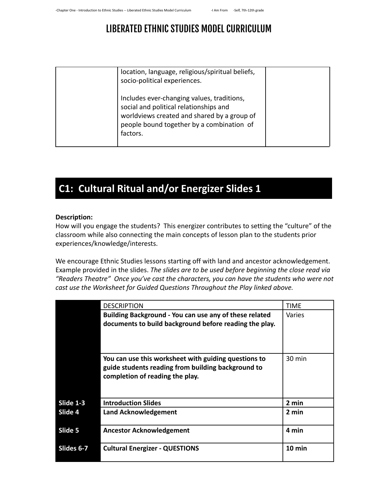| location, language, religious/spiritual beliefs,<br>socio-political experiences.                                                                                                             |  |
|----------------------------------------------------------------------------------------------------------------------------------------------------------------------------------------------|--|
| Includes ever-changing values, traditions,<br>social and political relationships and<br>worldviews created and shared by a group of<br>people bound together by a combination of<br>factors. |  |

## **C1: Cultural Ritual and/or Energizer Slides 1**

#### **Description:**

How will you engage the students? This energizer contributes to setting the "culture" of the classroom while also connecting the main concepts of lesson plan to the students prior experiences/knowledge/interests.

We encourage Ethnic Studies lessons starting off with land and ancestor acknowledgement. Example provided in the slides. *The slides are to be used before beginning the close read via "Readers Theatre" Once you've cast the characters, you can have the students who were not cast use the Worksheet for Guided Questions Throughout the Play linked above.*

|            | <b>DESCRIPTION</b>                                                                                                                            | <b>TIME</b> |
|------------|-----------------------------------------------------------------------------------------------------------------------------------------------|-------------|
|            | Building Background - You can use any of these related<br>documents to build background before reading the play.                              | Varies      |
|            | You can use this worksheet with guiding questions to<br>guide students reading from building background to<br>completion of reading the play. | 30 min      |
| Slide 1-3  | <b>Introduction Slides</b>                                                                                                                    | 2 min       |
| Slide 4    | <b>Land Acknowledgement</b>                                                                                                                   | 2 min       |
| Slide 5    | <b>Ancestor Acknowledgement</b>                                                                                                               | 4 min       |
| Slides 6-7 | <b>Cultural Energizer - QUESTIONS</b>                                                                                                         | 10 min      |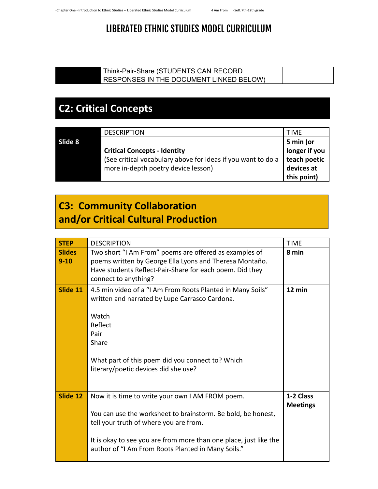### Think-Pair-Share (STUDENTS CAN RECORD RESPONSES IN THE DOCUMENT LINKED BELOW)

# **C2: Critical Concepts**

|         | <b>DESCRIPTION</b>                                           | <b>TIME</b>                |
|---------|--------------------------------------------------------------|----------------------------|
| Slide 8 |                                                              |                            |
|         | <b>Critical Concepts - Identity</b>                          | 5 min (or<br>longer if you |
|         | (See critical vocabulary above for ideas if you want to do a | teach poetic               |
|         | more in-depth poetry device lesson)                          | devices at                 |
|         |                                                              | this point)                |

### **C3: Community Collaboration and/or Critical Cultural Production**

| <b>STEP</b>               | <b>DESCRIPTION</b>                                                                                                                                                                                                                                                                    | <b>TIME</b>                  |
|---------------------------|---------------------------------------------------------------------------------------------------------------------------------------------------------------------------------------------------------------------------------------------------------------------------------------|------------------------------|
| <b>Slides</b><br>$9 - 10$ | Two short "I Am From" poems are offered as examples of<br>poems written by George Ella Lyons and Theresa Montaño.<br>Have students Reflect-Pair-Share for each poem. Did they<br>connect to anything?                                                                                 | 8 min                        |
| Slide 11                  | 4.5 min video of a "I Am From Roots Planted in Many Soils"<br>written and narrated by Lupe Carrasco Cardona.<br>Watch<br>Reflect<br>Pair<br>Share<br>What part of this poem did you connect to? Which<br>literary/poetic devices did she use?                                         | 12 min                       |
| Slide 12                  | Now it is time to write your own I AM FROM poem.<br>You can use the worksheet to brainstorm. Be bold, be honest,<br>tell your truth of where you are from.<br>It is okay to see you are from more than one place, just like the<br>author of "I Am From Roots Planted in Many Soils." | 1-2 Class<br><b>Meetings</b> |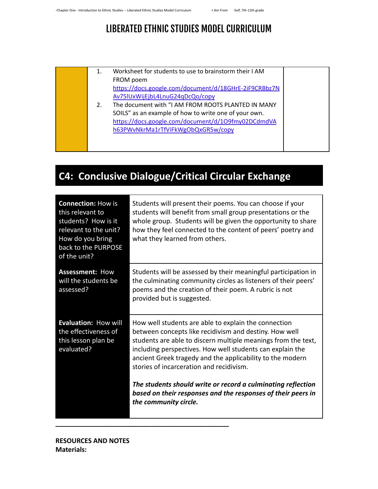- 1. Worksheet for students to use to brainstorm their I AM FROM poem [https://docs.google.com/document/d/18GHrE-2iF9CRBbz7N](https://docs.google.com/document/d/18GHrE-2iF9CRBbz7NAv75lUxWijEjbL4LnuG24qDcQo/copy) [Av75lUxWijEjbL4LnuG24qDcQo/copy](https://docs.google.com/document/d/18GHrE-2iF9CRBbz7NAv75lUxWijEjbL4LnuG24qDcQo/copy)
- 2. The document with "I AM FROM ROOTS PLANTED IN MANY SOILS" as an example of how to write one of your own. [https://docs.google.com/document/d/1O9fmy02DCdmdVA](https://docs.google.com/document/d/1O9fmy02DCdmdVAh63PWvNkrMa1rTfViFkWgObQxGR5w/copy) [h63PWvNkrMa1rTfViFkWgObQxGR5w/copy](https://docs.google.com/document/d/1O9fmy02DCdmdVAh63PWvNkrMa1rTfViFkWgObQxGR5w/copy)

# **C4: Conclusive Dialogue/Critical Circular Exchange**

| <b>Connection: How is</b><br>this relevant to<br>students? How is it<br>relevant to the unit?<br>How do you bring<br>back to the PURPOSE<br>of the unit? | Students will present their poems. You can choose if your<br>students will benefit from small group presentations or the<br>whole group. Students will be given the opportunity to share<br>how they feel connected to the content of peers' poetry and<br>what they learned from others.                                                                                                                                                                                                                      |
|----------------------------------------------------------------------------------------------------------------------------------------------------------|----------------------------------------------------------------------------------------------------------------------------------------------------------------------------------------------------------------------------------------------------------------------------------------------------------------------------------------------------------------------------------------------------------------------------------------------------------------------------------------------------------------|
| <b>Assessment: How</b><br>will the students be<br>assessed?                                                                                              | Students will be assessed by their meaningful participation in<br>the culminating community circles as listeners of their peers'<br>poems and the creation of their poem. A rubric is not<br>provided but is suggested.                                                                                                                                                                                                                                                                                        |
| Evaluation: How will<br>the effectiveness of<br>this lesson plan be<br>evaluated?                                                                        | How well students are able to explain the connection<br>between concepts like recidivism and destiny. How well<br>students are able to discern multiple meanings from the text,<br>including perspectives. How well students can explain the<br>ancient Greek tragedy and the applicability to the modern<br>stories of incarceration and recidivism.<br>The students should write or record a culminating reflection<br>based on their responses and the responses of their peers in<br>the community circle. |

**\_\_\_\_\_\_\_\_\_\_\_\_\_\_\_\_\_\_\_\_\_\_\_\_\_\_\_\_\_\_\_\_\_\_\_\_\_\_\_\_\_\_\_\_\_\_\_**